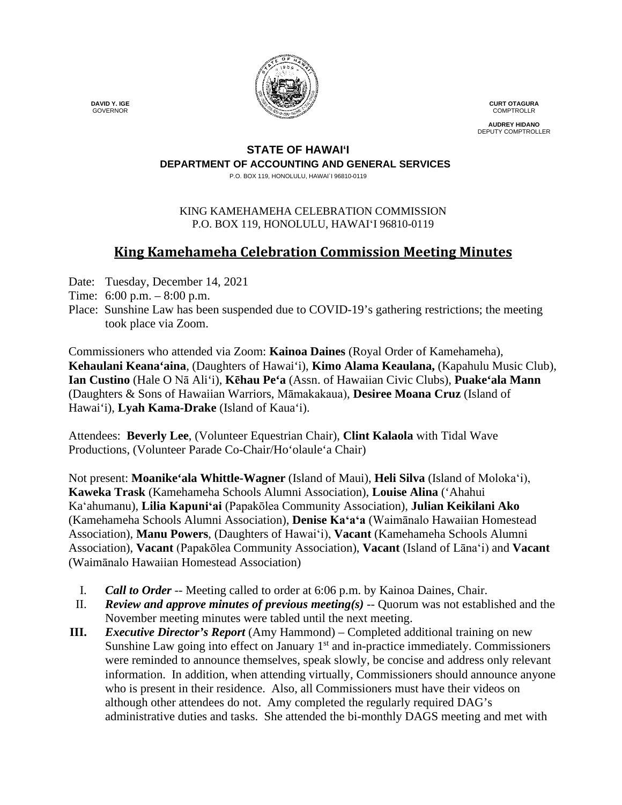

**CURT OTAGURA COMPTROLLR** 

**AUDREY HIDANO** DEPUTY COMPTROLLER

#### **STATE OF HAWAI'I DEPARTMENT OF ACCOUNTING AND GENERAL SERVICES**

P.O. BOX 119, HONOLULU, HAWAI`I 96810-0119

## KING KAMEHAMEHA CELEBRATION COMMISSION P.O. BOX 119, HONOLULU, HAWAIʻI 96810-0119

# **King Kamehameha Celebration Commission Meeting Minutes**

- Date: Tuesday, December 14, 2021
- Time: 6:00 p.m. 8:00 p.m.
- Place: Sunshine Law has been suspended due to COVID-19's gathering restrictions; the meeting took place via Zoom.

Commissioners who attended via Zoom: **Kainoa Daines** (Royal Order of Kamehameha), **Kehaulani Keana'aina**, (Daughters of Hawai'i), **Kimo Alama Keaulana,** (Kapahulu Music Club), **Ian Custino** (Hale O Nā Ali'i), **Kēhau Pe'a** (Assn. of Hawaiian Civic Clubs), **Puake'ala Mann** (Daughters & Sons of Hawaiian Warriors, Māmakakaua), **Desiree Moana Cruz** (Island of Hawai'i), **Lyah Kama-Drake** (Island of Kaua'i).

Attendees: **Beverly Lee**, (Volunteer Equestrian Chair), **Clint Kalaola** with Tidal Wave Productions, (Volunteer Parade Co-Chair/Ho'olaule'a Chair)

Not present: **Moanike'ala Whittle-Wagner** (Island of Maui), **Heli Silva** (Island of Molokaʻi), **Kaweka Trask** (Kamehameha Schools Alumni Association), **Louise Alina** ('Ahahui Kaʻahumanu), **Lilia Kapuniʻai** (Papakōlea Community Association), **Julian Keikilani Ako** (Kamehameha Schools Alumni Association), **Denise Kaʻaʻa** (Waimānalo Hawaiian Homestead Association), **Manu Powers**, (Daughters of Hawaiʻi), **Vacant** (Kamehameha Schools Alumni Association), **Vacant** (Papakōlea Community Association), **Vacant** (Island of Lāna'i) and **Vacant** (Waimānalo Hawaiian Homestead Association)

- I. *Call to Order* -- Meeting called to order at 6:06 p.m. by Kainoa Daines, Chair.
- II. *Review and approve minutes of previous meeting(s)* -- Quorum was not established and the November meeting minutes were tabled until the next meeting.
- **III.** *Executive Director's Report* (Amy Hammond) Completed additional training on new Sunshine Law going into effect on January  $1<sup>st</sup>$  and in-practice immediately. Commissioners were reminded to announce themselves, speak slowly, be concise and address only relevant information. In addition, when attending virtually, Commissioners should announce anyone who is present in their residence. Also, all Commissioners must have their videos on although other attendees do not. Amy completed the regularly required DAG's administrative duties and tasks. She attended the bi-monthly DAGS meeting and met with

 **DAVID Y. IGE** GOVERNOR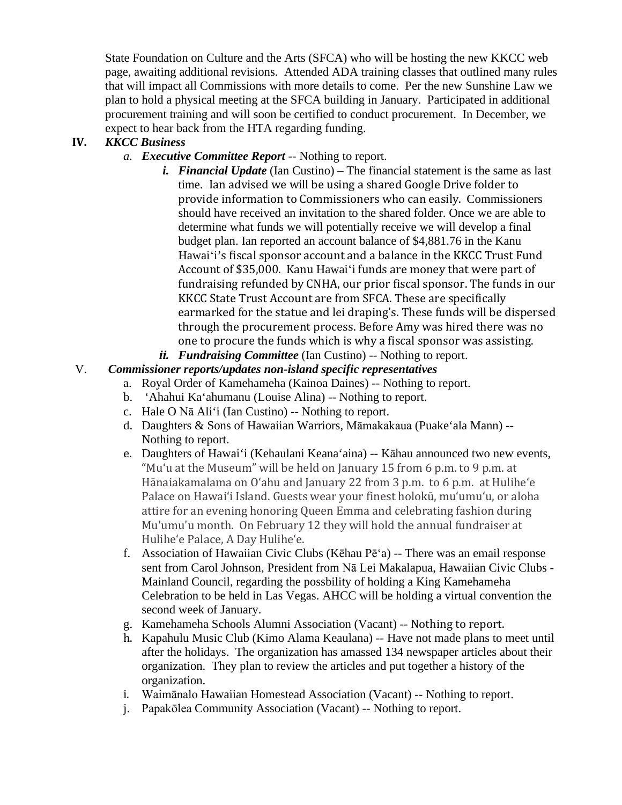State Foundation on Culture and the Arts (SFCA) who will be hosting the new KKCC web page, awaiting additional revisions. Attended ADA training classes that outlined many rules that will impact all Commissions with more details to come. Per the new Sunshine Law we plan to hold a physical meeting at the SFCA building in January. Participated in additional procurement training and will soon be certified to conduct procurement. In December, we expect to hear back from the HTA regarding funding.

# **IV.** *KKCC Business*

- *a. Executive Committee Report* -- Nothing to report.
	- *i. Financial Update* (Ian Custino) The financial statement is the same as last time. Ian advised we will be using a shared Google Drive folder to provide information to Commissioners who can easily. Commissioners should have received an invitation to the shared folder. Once we are able to determine what funds we will potentially receive we will develop a final budget plan. Ian reported an account balance of \$4,881.76 in the Kanu Hawaiʻi's fiscal sponsor account and a balance in the KKCC Trust Fund Account of \$35,000. Kanu Hawaiʻi funds are money that were part of fundraising refunded by CNHA, our prior fiscal sponsor. The funds in our KKCC State Trust Account are from SFCA. These are specifically earmarked for the statue and lei draping's. These funds will be dispersed through the procurement process. Before Amy was hired there was no one to procure the funds which is why a fiscal sponsor was assisting.
	- *ii. Fundraising Committee* (Ian Custino) -- Nothing to report.

# V.*Commissioner reports/updates non-island specific representatives*

- a. Royal Order of Kamehameha (Kainoa Daines) -- Nothing to report.
- b. 'Ahahui Ka'ahumanu (Louise Alina) -- Nothing to report.
- c. Hale O Nā Ali'i (Ian Custino) -- Nothing to report.
- d. Daughters & Sons of Hawaiian Warriors, Māmakakaua (Puake'ala Mann) -- Nothing to report.
- e. Daughters of Hawai'i (Kehaulani Keana'aina) -- Kāhau announced two new events, "Muʻu at the Museum" will be held on January 15 from 6 p.m. to 9 p.m. at Hānaiakamalama on Oʻahu and January 22 from 3 p.m. to 6 p.m. at Huliheʻe Palace on Hawaiʻi Island. Guests wear your finest holokū, muʻumuʻu, or aloha attire for an evening honoring Queen Emma and celebrating fashion during Mu'umu'u month. On February 12 they will hold the annual fundraiser at Huliheʻe Palace, A Day Huliheʻe.
- f. Association of Hawaiian Civic Clubs (Kēhau Pēʻa) -- There was an email response sent from Carol Johnson, President from Nā Lei Makalapua, Hawaiian Civic Clubs - Mainland Council, regarding the possbility of holding a King Kamehameha Celebration to be held in Las Vegas. AHCC will be holding a virtual convention the second week of January.
- g. Kamehameha Schools Alumni Association (Vacant) -- Nothing to report.
- h. Kapahulu Music Club (Kimo Alama Keaulana) -- Have not made plans to meet until after the holidays. The organization has amassed 134 newspaper articles about their organization. They plan to review the articles and put together a history of the organization.
- i. Waimānalo Hawaiian Homestead Association (Vacant) -- Nothing to report.
- j. Papakōlea Community Association (Vacant) -- Nothing to report.